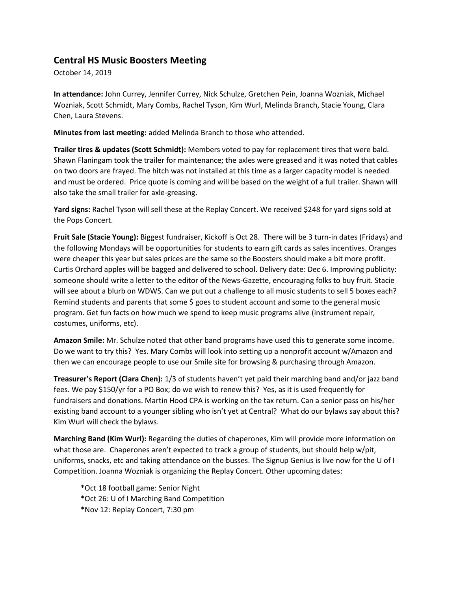## **Central HS Music Boosters Meeting**

October 14, 2019

**In attendance:** John Currey, Jennifer Currey, Nick Schulze, Gretchen Pein, Joanna Wozniak, Michael Wozniak, Scott Schmidt, Mary Combs, Rachel Tyson, Kim Wurl, Melinda Branch, Stacie Young, Clara Chen, Laura Stevens.

**Minutes from last meeting:** added Melinda Branch to those who attended.

**Trailer tires & updates (Scott Schmidt):** Members voted to pay for replacement tires that were bald. Shawn Flaningam took the trailer for maintenance; the axles were greased and it was noted that cables on two doors are frayed. The hitch was not installed at this time as a larger capacity model is needed and must be ordered. Price quote is coming and will be based on the weight of a full trailer. Shawn will also take the small trailer for axle-greasing.

**Yard signs:** Rachel Tyson will sell these at the Replay Concert. We received \$248 for yard signs sold at the Pops Concert.

**Fruit Sale (Stacie Young):** Biggest fundraiser, Kickoff is Oct 28. There will be 3 turn-in dates (Fridays) and the following Mondays will be opportunities for students to earn gift cards as sales incentives. Oranges were cheaper this year but sales prices are the same so the Boosters should make a bit more profit. Curtis Orchard apples will be bagged and delivered to school. Delivery date: Dec 6. Improving publicity: someone should write a letter to the editor of the News-Gazette, encouraging folks to buy fruit. Stacie will see about a blurb on WDWS. Can we put out a challenge to all music students to sell 5 boxes each? Remind students and parents that some \$ goes to student account and some to the general music program. Get fun facts on how much we spend to keep music programs alive (instrument repair, costumes, uniforms, etc).

**Amazon Smile:** Mr. Schulze noted that other band programs have used this to generate some income. Do we want to try this? Yes. Mary Combs will look into setting up a nonprofit account w/Amazon and then we can encourage people to use our Smile site for browsing & purchasing through Amazon.

**Treasurer's Report (Clara Chen):** 1/3 of students haven't yet paid their marching band and/or jazz band fees. We pay \$150/yr for a PO Box; do we wish to renew this? Yes, as it is used frequently for fundraisers and donations. Martin Hood CPA is working on the tax return. Can a senior pass on his/her existing band account to a younger sibling who isn't yet at Central? What do our bylaws say about this? Kim Wurl will check the bylaws.

**Marching Band (Kim Wurl):** Regarding the duties of chaperones, Kim will provide more information on what those are. Chaperones aren't expected to track a group of students, but should help w/pit, uniforms, snacks, etc and taking attendance on the busses. The Signup Genius is live now for the U of I Competition. Joanna Wozniak is organizing the Replay Concert. Other upcoming dates:

\*Oct 18 football game: Senior Night \*Oct 26: U of I Marching Band Competition \*Nov 12: Replay Concert, 7:30 pm